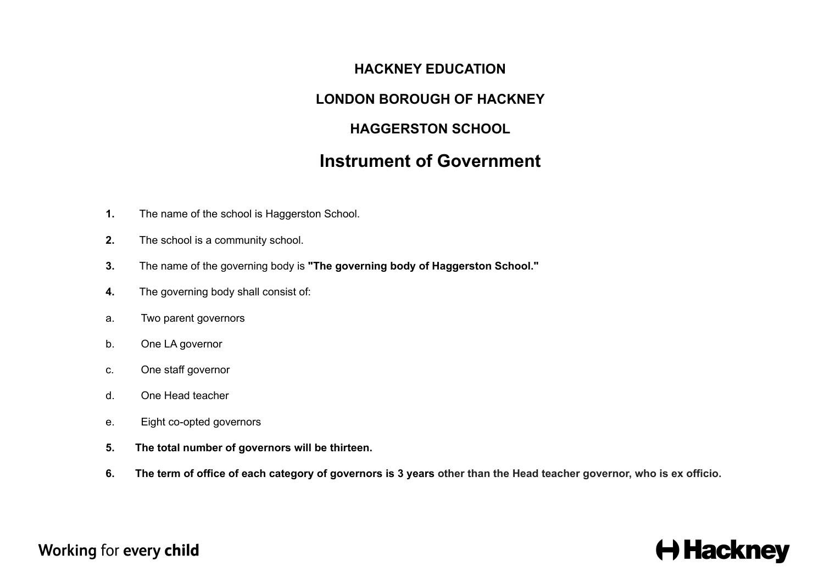### **HACKNEY EDUCATION**

### **LONDON BOROUGH OF HACKNEY**

## **HAGGERSTON SCHOOL**

## **Instrument of Government**

- **1.** The name of the school is Haggerston School.
- **2.** The school is a community school.
- **3.** The name of the governing body is **"The governing body of Haggerston School."**
- **4.** The governing body shall consist of:
- a. Two parent governors
- b. One LA governor
- c. One staff governor
- d. One Head teacher
- e. Eight co-opted governors
- **5. The total number of governors will be thirteen.**
- 6. The term of office of each category of governors is 3 years other than the Head teacher governor, who is ex officio.

## Working for every child

# $\leftrightarrow$  Hackney